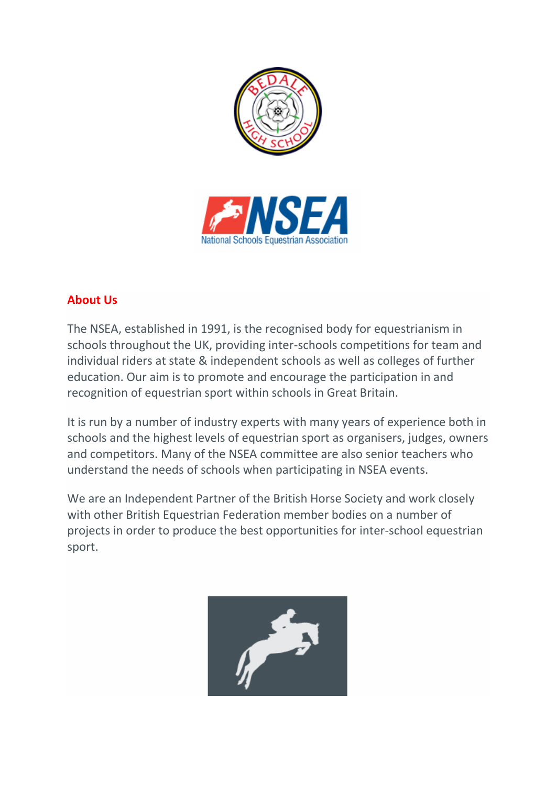

## **About Us**

The NSEA, established in 1991, is the recognised body for equestrianism in schools throughout the UK, providing inter-schools competitions for team and individual riders at state & independent schools as well as colleges of further education. Our aim is to promote and encourage the participation in and recognition of equestrian sport within schools in Great Britain.

It is run by a number of industry experts with many years of experience both in schools and the highest levels of equestrian sport as organisers, judges, owners and competitors. Many of the NSEA committee are also senior teachers who understand the needs of schools when participating in NSEA events.

We are an Independent Partner of the British Horse Society and work closely with other British Equestrian Federation member bodies on a number of projects in order to produce the best opportunities for inter-school equestrian sport.

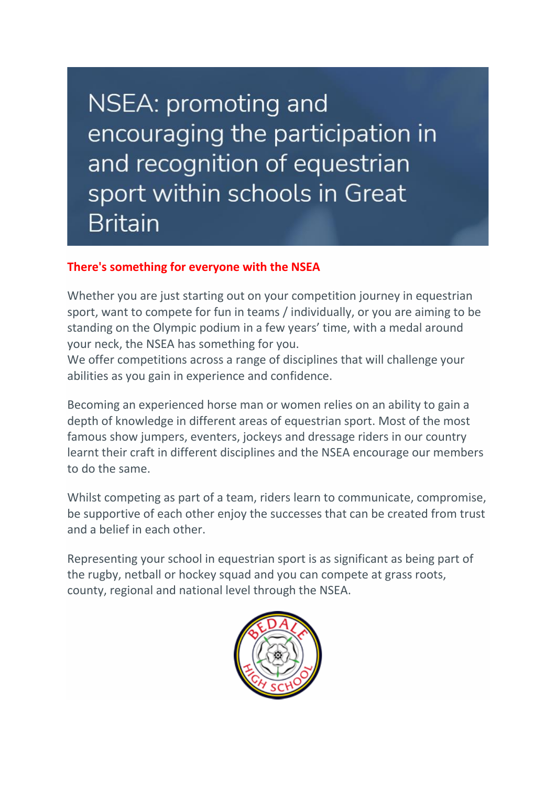NSEA: promoting and encouraging the participation in and recognition of equestrian sport within schools in Great **Britain** 

### **There's something for everyone with the NSEA**

Whether you are just starting out on your competition journey in equestrian sport, want to compete for fun in teams / individually, or you are aiming to be standing on the Olympic podium in a few years' time, with a medal around your neck, the NSEA has something for you.

We offer competitions across a range of disciplines that will challenge your abilities as you gain in experience and confidence.

Becoming an experienced horse man or women relies on an ability to gain a depth of knowledge in different areas of equestrian sport. Most of the most famous show jumpers, eventers, jockeys and dressage riders in our country learnt their craft in different disciplines and the NSEA encourage our members to do the same.

Whilst competing as part of a team, riders learn to communicate, compromise, be supportive of each other enjoy the successes that can be created from trust and a belief in each other.

Representing your school in equestrian sport is as significant as being part of the rugby, netball or hockey squad and you can compete at grass roots, county, regional and national level through the NSEA.

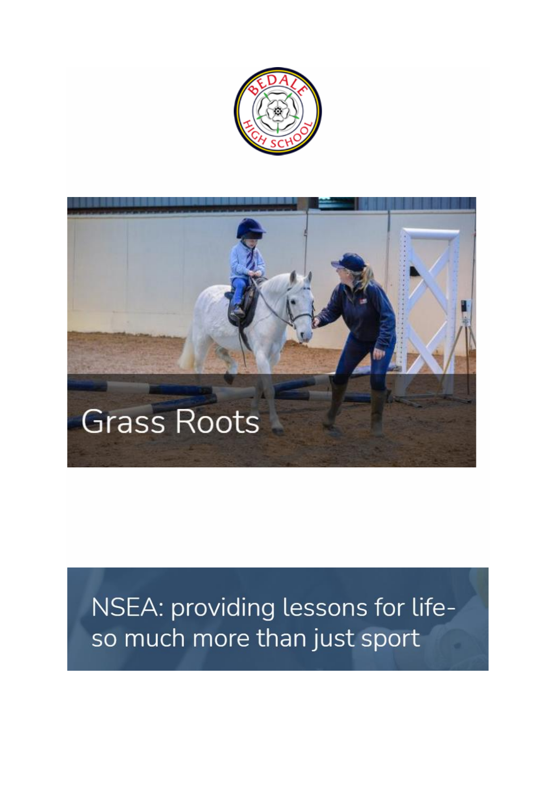



# NSEA: providing lessons for lifeso much more than just sport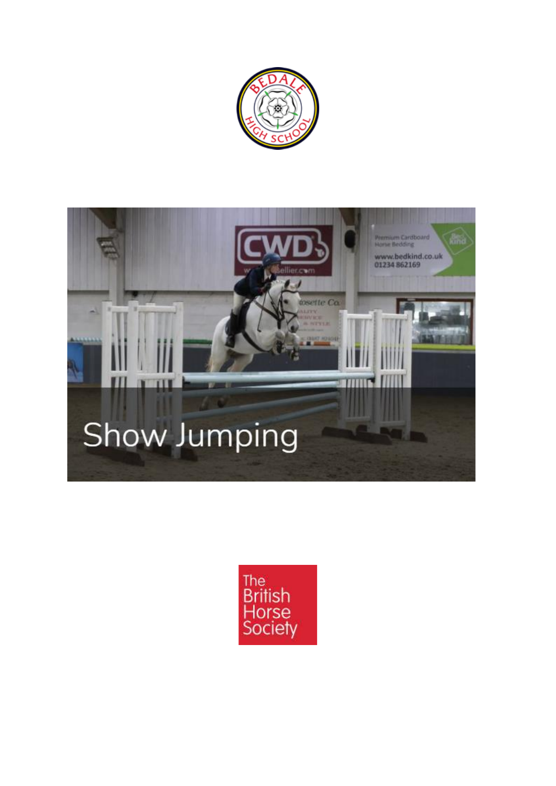



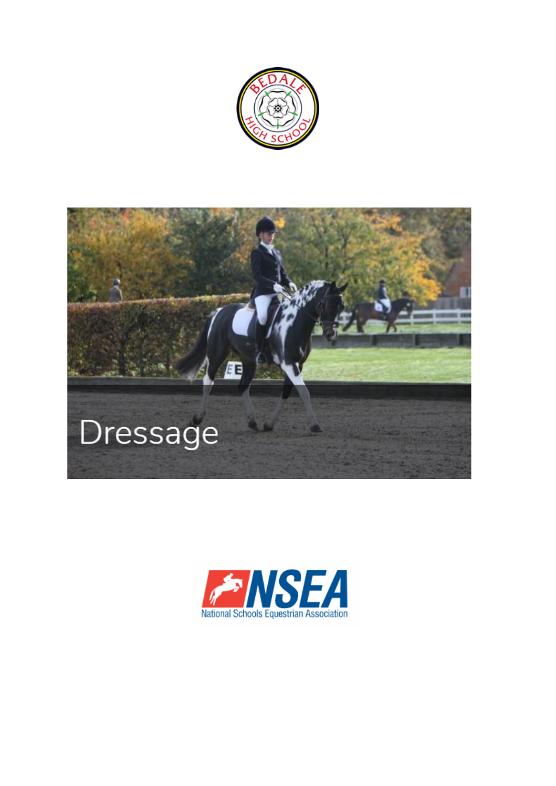



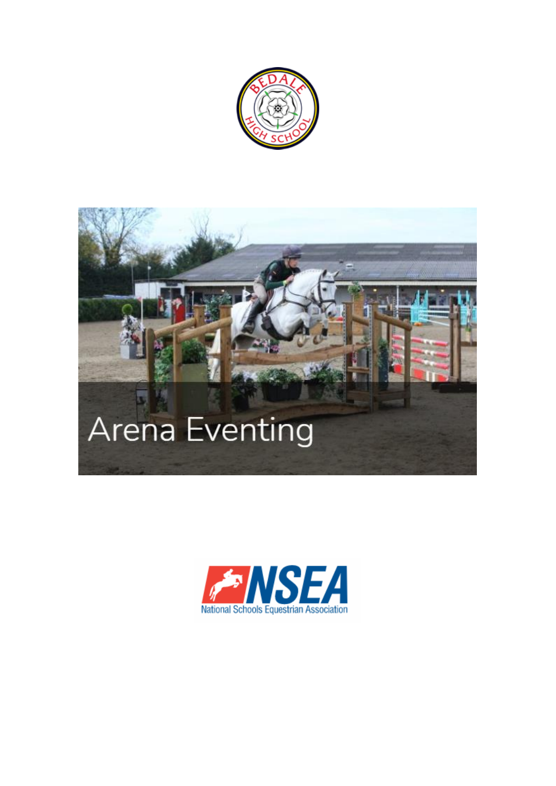

# **Arena Eventing**

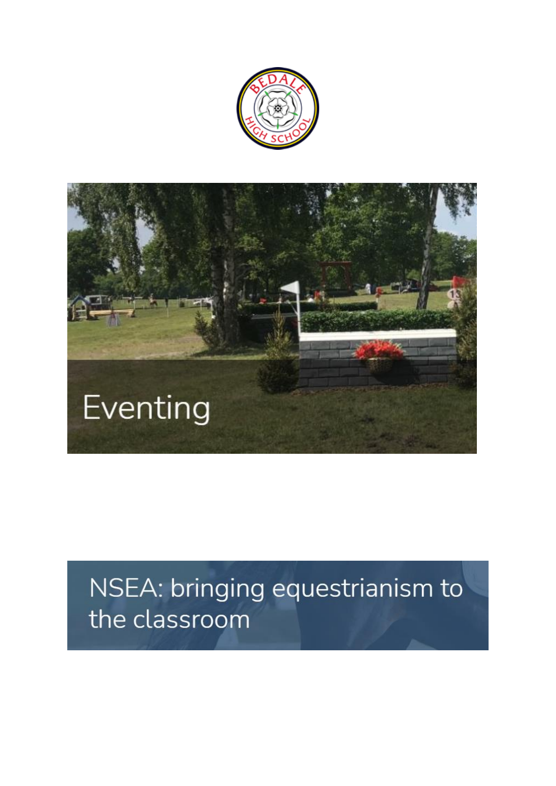



# NSEA: bringing equestrianism to the classroom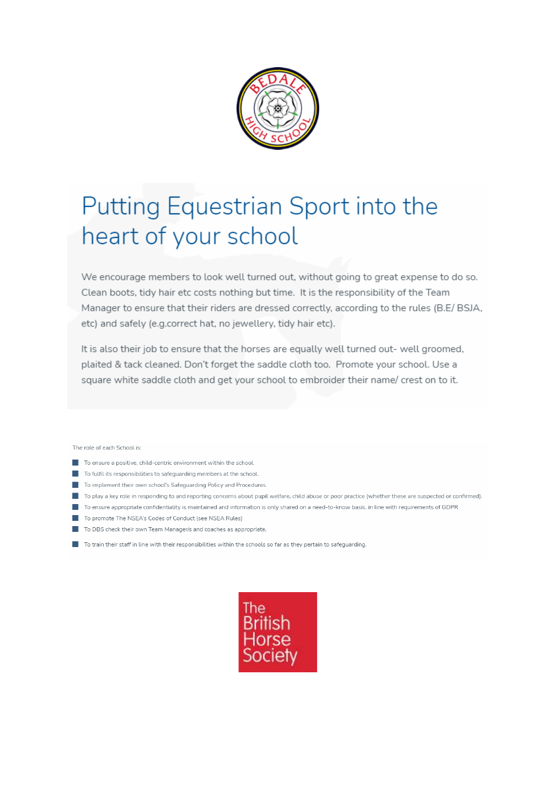

## Putting Equestrian Sport into the heart of your school

We encourage members to look well turned out, without going to great expense to do so. Clean boots, tidy hair etc costs nothing but time. It is the responsibility of the Team Manager to ensure that their riders are dressed correctly, according to the rules (B.E/ BSJA, etc) and safely (e.g.correct hat, no jewellery, tidy hair etc).

It is also their job to ensure that the horses are equally well turned out- well groomed, plaited & tack cleaned. Don't forget the saddle cloth too. Promote your school. Use a square white saddle cloth and get your school to embroider their name/ crest on to it.

The role of each School is:

- $\blacksquare$  To ensure a positive, child-centric environment within the school.
- To fulfil its responsibilities to safeguarding members at the school.
- To implement their own school's Safeguarding Policy and Procedures.
- To play a key role in responding to and reporting concerns about pupil welfare, child abuse or poor practice (whether these are suspected or confirmed).
- To ensure appropriate confidentiality is maintained and information is only shared on a need-to-know basis, in line with requirements of GDPR
- To promote The NSFA's Codes of Conduct (see NSFA Rules)
- To DBS check their own Team Manager/s and coaches as appropriate.
- To train their staff in line with their responsibilities within the schools so far as they pertain to safeguarding.

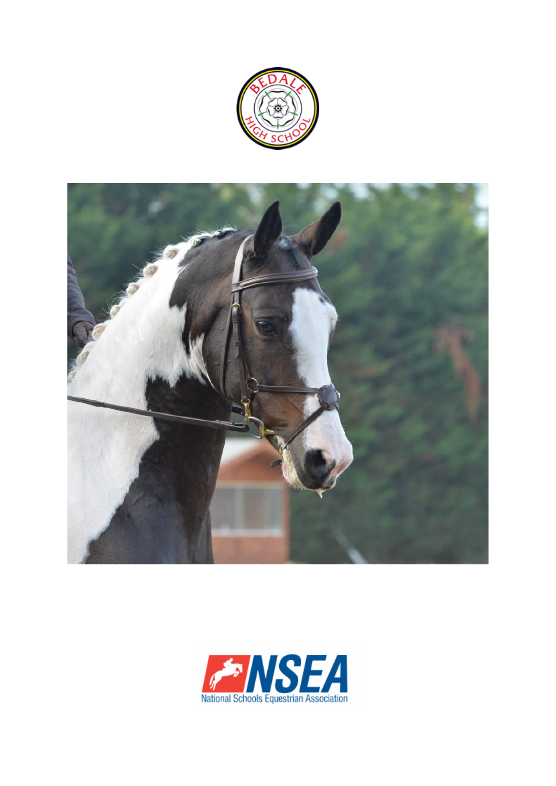



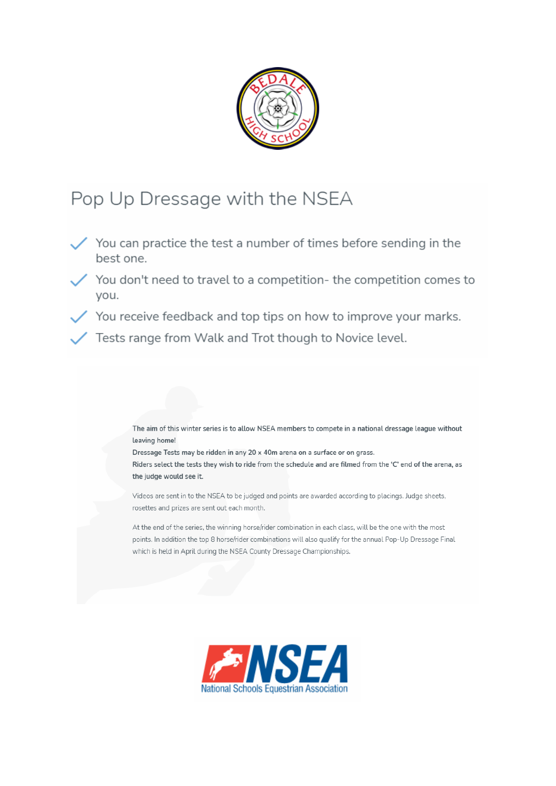

## Pop Up Dressage with the NSEA

- $\checkmark$  You can practice the test a number of times before sending in the best one.
	- $\prime$  You don't need to travel to a competition- the competition comes to you.
- $\checkmark$  You receive feedback and top tips on how to improve your marks.
	- Tests range from Walk and Trot though to Novice level.

The aim of this winter series is to allow NSEA members to compete in a national dressage league without leaving home!

Dressage Tests may be ridden in any 20 x 40m arena on a surface or on grass. Riders select the tests they wish to ride from the schedule and are filmed from the 'C' end of the arena, as the judge would see it.

Videos are sent in to the NSEA to be judged and points are awarded according to placings. Judge sheets, rosettes and prizes are sent out each month.

At the end of the series, the winning horse/rider combination in each class, will be the one with the most points. In addition the top 8 horse/rider combinations will also qualify for the annual Pop-Up Dressage Final which is held in April during the NSEA County Dressage Championships.